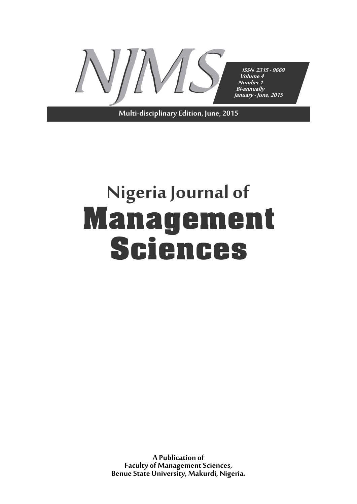

**Multi-disciplinary Edition, June, 2015**

# **Nigeria Journal of Management Sciences**

**A Publication of Faculty of Management Sciences, Benue State University, Makurdi, Nigeria.**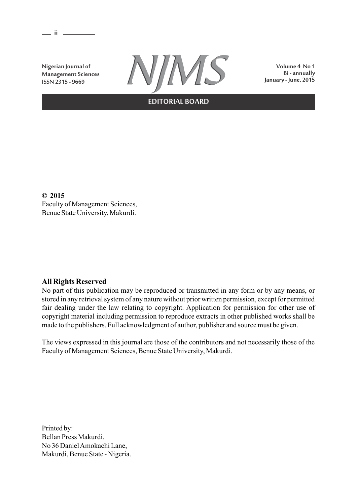**ii** 

**Nigerian Journal of Management Sciences ISSN 2315 - 9669**



**Volume 4 No 1**

**EDITORIAL BOARD**

**© 2015** Faculty of Management Sciences, Benue State University, Makurdi.

# **All Rights Reserved**

No part of this publication may be reproduced or transmitted in any form or by any means, or stored in any retrieval system of any nature without prior written permission, except for permitted fair dealing under the law relating to copyright. Application for permission for other use of copyright material including permission to reproduce extracts in other published works shall be made to the publishers. Full acknowledgment of author, publisher and source must be given.

The views expressed in this journal are those of the contributors and not necessarily those of the Faculty of Management Sciences, Benue State University, Makurdi.

Printed by: Bellan Press Makurdi. No 36 Daniel Amokachi Lane, Makurdi, Benue State - Nigeria.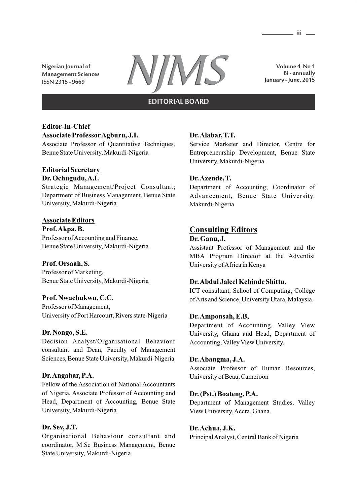**Nigerian Journal of Management Sciences**



**Volume 4 No 1 Bi - annually January - June, 2015**

# **EDITORIAL BOARD**

# **Editor-In-Chief**

### **Associate ProfessorAgburu, J.I.**

Associate Professor of Quantitative Techniques, Benue State University, Makurdi-Nigeria

### **Editorial Secretary Dr. Ochugudu, A.I.**

# Strategic Management/Project Consultant; Department of Business Management, Benue State University, Makurdi-Nigeria

# **Associate Editors**

**Prof. Akpa, B.** Professor of Accounting and Finance, Benue State University, Makurdi-Nigeria

# **Prof. Orsaah, S.**

Professor of Marketing, Benue State University, Makurdi-Nigeria

### **Prof. Nwachukwu, C.C.**

Professor of Management, University of Port Harcourt, Rivers state-Nigeria

### **Dr. Nongo, S.E.**

Decision Analyst/Organisational Behaviour consultant and Dean, Faculty of Management Sciences, Benue State University, Makurdi-Nigeria

### **Dr. Angahar, P.A.**

Fellow of the Association of National Accountants of Nigeria, Associate Professor of Accounting and Head, Department of Accounting, Benue State University, Makurdi-Nigeria

# **Dr. Sev, J.T.**

Organisational Behaviour consultant and coordinator, M.Sc Business Management, Benue State University, Makurdi-Nigeria

# **Dr. Alabar, T.T.**

Service Marketer and Director, Centre for Entrepreneurship Development, Benue State University, Makurdi-Nigeria

# **Dr. Azende, T.**

Department of Accounting; Coordinator of Advancement, Benue State University, Makurdi-Nigeria

# **Consulting Editors**

#### **Dr. Ganu, J.**

Assistant Professor of Management and the MBA Program Director at the Adventist University of Africa in Kenya

# **Dr. Abdul Jaleel Kehinde Shittu.**

ICT consultant, School of Computing, College of Arts and Science, University Utara, Malaysia.

### **Dr. Amponsah, E.B,**

Department of Accounting, Valley View University, Ghana and Head, Department of Accounting, Valley View University.

### **Dr. Abangma, J.A.**

Associate Professor of Human Resources, University of Beau, Cameroon

### **Dr. (Pst.) Boateng, P.A.**

Department of Management Studies, Valley View University, Accra, Ghana.

# **Dr. Achua, J.K.**

Principal Analyst, Central Bank of Nigeria

**iii**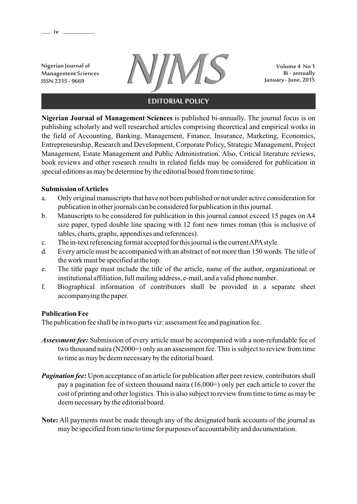**Management Sciences ISSN 2315 - 9669**

**iv**



**Volume 4 No 1 Bi - annually January - June, 2015**

# **EDITORIAL POLICY**

**Nigerian Journal of Management Sciences** is published bi-annually. The journal focus is on publishing scholarly and well researched articles comprising theoretical and empirical works in the field of Accounting, Banking, Management, Finance, Insurance, Marketing, Economics, Entrepreneurship, Research and Development, Corporate Policy, Strategic Management, Project Management, Estate Management and Public Administration. Also, Critical literature reviews, book reviews and other research results in related fields may be considered for publication in special editions as may be determine by the editorial board from time to time.

# **Submission of Articles**

- a. Only original manuscripts that have not been published or not under active consideration for publication in other journals can be considered for publication in this journal.
- b. Manuscripts to be considered for publication in this journal cannot exceed 15 pages on A4 size paper, typed double line spacing with 12 font new times roman (this is inclusive of tables, charts, graphs, appendixes and references).
- c. The in-text referencing format accepted for this journal is the current APAstyle.
- d. Every article must be accompanied with an abstract of not more than 150 words. The title of the work must be specified at the top.
- e. The title page must include the title of the article, name of the author, organizational or institutional affiliation, full mailing address, e-mail, and a valid phone number.
- f. Biographical information of contributors shall be provided in a separate sheet accompanying the paper.

# **Publication Fee**

The publication fee shall be in two parts viz: assessment fee and pagination fee.

- *Assessment fee:* Submission of every article must be accompanied with a non-refundable fee of two thousand naira (N2000=) only as an assessment fee. This is subject to review from time to time as may be deem necessary by the editorial board.
- *Pagination fee:* Upon acceptance of an article for publication after peer review, contributors shall pay a pagination fee of sixteen thousand naira (16,000=) only per each article to cover the cost of printing and other logistics. This is also subject to review from time to time as may be deem necessary by the editorial board.
- **Note:** All payments must be made through any of the designated bank accounts of the journal as may be specified from time to time for purposes of accountability and documentation.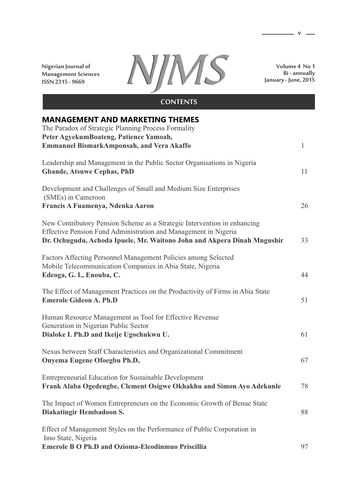**Nigerian Journal of Management Sciences ISSN 2315 - 9669**



**Volume 4 No 1 Bi - annually January - June, 2015**

**v**

# **MANAGEMENT AND MARKETING THEMES** The Paradox of Strategic Planning Process Formality **Peter AgyekumBoateng, Patience Yamoah, Emmanuel BismarkAmponsah, and Vera Akaffo** 1 Leadership and Management in the Public Sector Organisations in Nigeria **Gbande, Atsuwe Cephas, PhD** 11 Development and Challenges of Small and Medium Size Enterprises (SMEs) in Cameroon **Francis A Fuamenya, Ndenka Aaron** 26 New Contributory Pension Scheme as a Strategic Intervention in enhancing Effective Pension Fund Administration and Management in Nigeria **Dr. Ochugudu, Achoda Ipuele, Mr. Waitono John and Akpera Dinah Mngushir** 33 Factors Affecting Personnel Management Policies among Selected Mobile Telecommunication Companies in Abia State, Nigeria **Edeoga, G. I., Enouba, C.** 44 The Effect of Management Practices on the Productivity of Firms in Abia State **Emerole Gideon A. Ph.D** 51

Human Resource Management as Tool for Effective Revenue Generation in Nigerian Public Sector **Dialoke I. Ph.D and Ikeije Ugochukwu U.** 61

Nexus between Staff Characteristics and Organizational Commitment **Onyema Eugene Ofoegbu Ph.D,** 67 Entrepreneurial Education for Sustainable Development **Frank Alaba Ogedengbe, Clement Osigwe Okhakhu and Simon Ayo Adekunle** 78 The Impact of Women Entrepreneurs on the Economic Growth of Benue State **Diakatingir Hembadoon S.** 88

Effect of Management Styles on the Performance of Public Corporation in Imo State, Nigeria **Emerole B O Ph.D and Ozioma-Eleodinmuo Priscillia** 97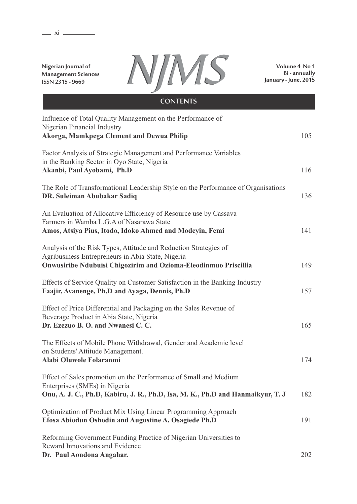. **xi** –

**Nigerian Journal of Management Sciences ISSN 2315 - 9669**



**Volume 4 No 1 Bi - annually January - June, 2015**

# Influence of Total Quality Management on the Performance of Nigerian Financial Industry **Akorga, Mamkpega Clement and Dewua Philip** 105 Factor Analysis of Strategic Management and Performance Variables in the Banking Sector in Oyo State, Nigeria **Akanbi, Paul Ayobami, Ph.D** 116 The Role of Transformational Leadership Style on the Performance of Organisations **DR. Suleiman Abubakar Sadiq** 136 An Evaluation of Allocative Efficiency of Resource use by Cassava Farmers in Wamba L.G.A of Nasarawa State **Amos, Atsiya Pius, Itodo, Idoko Ahmed and Modeyin, Femi** 141 Analysis of the Risk Types, Attitude and Reduction Strategies of Agribusiness Entrepreneurs in Abia State, Nigeria **Onwusiribe Ndubuisi Chigozirim and Ozioma-Eleodinmuo Priscillia** 149 Effects of Service Quality on Customer Satisfaction in the Banking Industry **Faajir, Avanenge, Ph.D and Ayaga, Dennis, Ph.D** 157 Effect of Price Differential and Packaging on the Sales Revenue of Beverage Product in Abia State, Nigeria **Dr. Ezezuo B. O. and Nwanesi C. C. 165** The Effects of Mobile Phone Withdrawal, Gender and Academic level on Students' Attitude Management. **Alabi Oluwole Folaranmi** 174 Effect of Sales promotion on the Performance of Small and Medium Enterprises (SMEs) in Nigeria **Onu, A. J. C., Ph.D, Kabiru, J. R., Ph.D, Isa, M. K., Ph.D and Hanmaikyur, T. J** 182 Optimization of Product Mix Using Linear Programming Approach **Efosa Abiodun Oshodin and Augustine A. Osagiede Ph.D** 191 Reforming Government Funding Practice of Nigerian Universities to Reward Innovations and Evidence **CONTENTS**

**Dr. Paul Aondona Angahar.** 202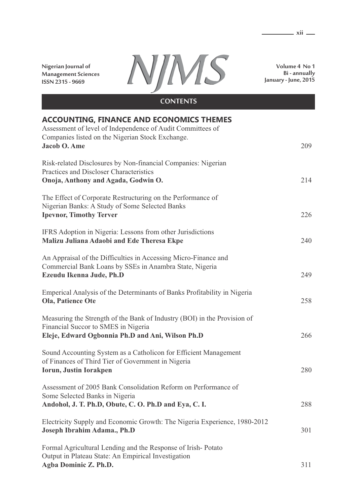**Nigerian Journal of Management Sciences ISSN 2315 - 9669**



**Volume 4 No 1 Bi - annually January - June, 2015**

| <b>CONTENTS</b>                                                                                                                                                                   |     |
|-----------------------------------------------------------------------------------------------------------------------------------------------------------------------------------|-----|
| <b>ACCOUNTING, FINANCE AND ECONOMICS THEMES</b><br>Assessment of level of Independence of Audit Committees of<br>Companies listed on the Nigerian Stock Exchange.<br>Jacob O. Ame | 209 |
| Risk-related Disclosures by Non-financial Companies: Nigerian<br>Practices and Discloser Characteristics<br>Onoja, Anthony and Agada, Godwin O.                                   | 214 |
| The Effect of Corporate Restructuring on the Performance of<br>Nigerian Banks: A Study of Some Selected Banks<br><b>Ipevnor, Timothy Terver</b>                                   | 226 |
| IFRS Adoption in Nigeria: Lessons from other Jurisdictions<br>Malizu Juliana Adaobi and Ede Theresa Ekpe                                                                          | 240 |
| An Appraisal of the Difficulties in Accessing Micro-Finance and<br>Commercial Bank Loans by SSEs in Anambra State, Nigeria<br>Ezeudu Ikenna Jude, Ph.D                            | 249 |
| Emperical Analysis of the Determinants of Banks Profitability in Nigeria<br>Ola, Patience Ote                                                                                     | 258 |
| Measuring the Strength of the Bank of Industry (BOI) in the Provision of<br>Financial Succor to SMES in Nigeria<br>Eleje, Edward Ogbonnia Ph.D and Ani, Wilson Ph.D               | 266 |
| Sound Accounting System as a Catholicon for Efficient Management<br>of Finances of Third Tier of Government in Nigeria<br>Iorun, Justin Iorakpen                                  | 280 |
| Assessment of 2005 Bank Consolidation Reform on Performance of<br>Some Selected Banks in Nigeria<br>Andohol, J. T. Ph.D, Obute, C. O. Ph.D and Eya, C. I.                         | 288 |
| Electricity Supply and Economic Growth: The Nigeria Experience, 1980-2012<br>Joseph Ibrahim Adama., Ph.D                                                                          | 301 |
| Formal Agricultural Lending and the Response of Irish-Potato<br>Output in Plateau State: An Empirical Investigation<br>Agba Dominic Z. Ph.D.                                      | 311 |